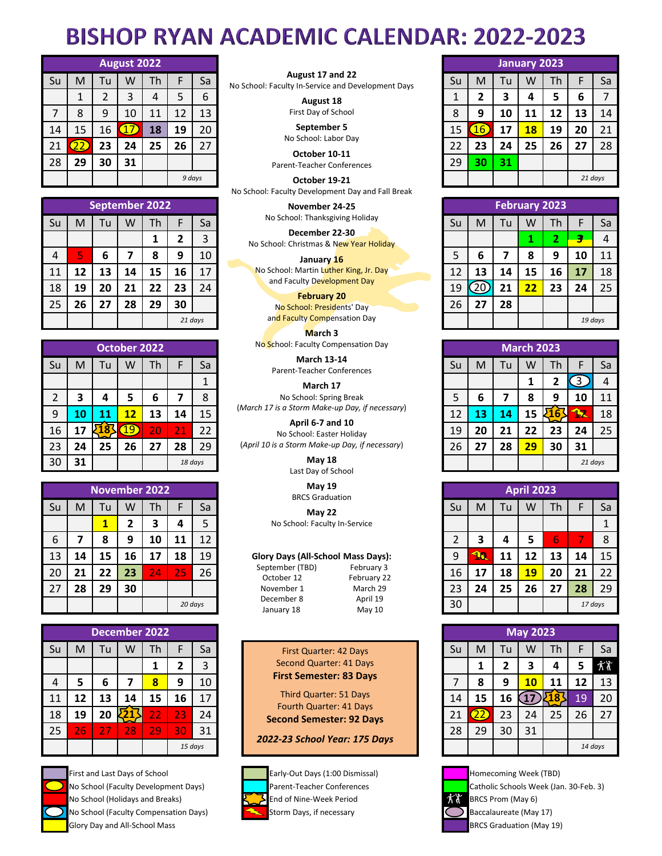## **BISHOP RYAN ACADEMIC CALENDAR: 2022-2023**

|    |    |    | August 2022 |    |    |        |                                                                        |    |            |    | <b>January 2023</b> |    |         |    |
|----|----|----|-------------|----|----|--------|------------------------------------------------------------------------|----|------------|----|---------------------|----|---------|----|
| Su | M  | Tu | w           | Th |    | Sa     | August 17 and 22<br>No School: Faculty In-Service and Development Days | Su | M          | Tu | W                   | Th |         | Sa |
|    |    |    |             | 4  | 5  | 6      | August 18                                                              |    |            |    | 4                   | 5  | b       |    |
|    | 8  | 9  | 10          | 11 | 12 | 13     | First Day of School                                                    | 8  | q          | 10 | 11                  | 12 | 13      | 14 |
| 14 | 15 | 16 |             | 18 | 19 | 20     | September 5                                                            | 15 | <u>16,</u> | 17 | 18                  | 19 | 20      | 21 |
| 21 |    | 23 | 24          | 25 | 26 | 27     | No School: Labor Day<br>October 10-11                                  | 22 | 23         | 24 | 25                  | 26 | 27      | 28 |
| 28 | 29 | 30 | 31          |    |    |        | Parent-Teacher Conferences                                             | 29 | 30         | 31 |                     |    |         |    |
|    |    |    |             |    |    | 9 days | October 19-21                                                          |    |            |    |                     |    | 21 days |    |

|    |    |    |    | September 2022 |    |                 | November 24-25                                            |    |    |    |    | <b>February 2023</b> |         |                |
|----|----|----|----|----------------|----|-----------------|-----------------------------------------------------------|----|----|----|----|----------------------|---------|----------------|
| Su | м  | Tu | W  | Th             |    | Sa              | No School: Thanksgiving Holiday                           | Su | M  | Tu | w  | Th                   |         | Sa             |
|    |    |    |    |                |    |                 | December 22-30<br>No School: Christmas & New Year Holiday |    |    |    |    | -                    |         | $\overline{4}$ |
| 4  |    | 6  |    | 8              | 9  | 10 <sup>°</sup> | January 16                                                | 5  | ь  |    | 8  |                      | 10      | 11             |
| 11 | 12 | 13 | 14 | 15             | 16 | 17              | No School: Martin Luther King, Jr. Day                    | 12 | 13 | 14 | 15 | 16                   | 17      | 18             |
| 18 | 19 | 20 | 21 | 22             | 23 | 24              | and Faculty Development Day<br><b>February 20</b>         | 19 |    | 21 | 22 | 23                   | 24      | 25             |
| 25 | 26 | 27 | 28 | 29             | 30 |                 | No School: Presidents' Day                                | 26 | 27 | 28 |    |                      |         |                |
|    |    |    |    |                |    | 21 days         | and Faculty Compensation Day                              |    |    |    |    |                      | 19 days |                |

|    | October 2022 |    |    |    |    |         | No School: Faculty Compensation Day              |    |    |    | <b>March 2023</b> |    |                  |
|----|--------------|----|----|----|----|---------|--------------------------------------------------|----|----|----|-------------------|----|------------------|
| Su | M            | Tu | w  | Th |    | Sa      | <b>March 13-14</b><br>Parent-Teacher Conferences | Su | M  | Tu | w                 | Th | F                |
|    |              |    |    |    |    |         | March 17                                         |    |    |    |                   |    | $\left(3\right)$ |
|    |              | 4  |    | 6  |    | 8       | No School: Spring Break                          |    | 6  |    |                   | 9  | 10               |
| 9  |              |    | 12 | 13 | 14 | 15      | (March 17 is a Storm Make-up Day, if necessary)  |    | 13 | 14 | 15                | .b | k                |
| 16 |              |    | 9  | 20 | 21 | 22      | April 6-7 and 10<br>No School: Easter Holiday    | 19 | 20 | 21 |                   | 23 | 24               |
| 23 | 24           | 25 | 26 | 27 | 28 | 29      | (April 10 is a Storm Make-up Day, if necessary)  | 26 | 27 | 28 | 29                | 30 | 31               |
| 30 | 31           |    |    |    |    | 18 days | May 18<br>Last Day of School                     |    |    |    |                   |    | 2:               |

|    |    |    |    | <b>November 2022</b> |    |         | <b>May 19</b><br><b>BRCS Graduation</b>                    |    |           |    | <b>April 2023</b> |   |
|----|----|----|----|----------------------|----|---------|------------------------------------------------------------|----|-----------|----|-------------------|---|
| Su | м  | Tu | W  | Th                   | F  | Sa      | <b>May 22</b>                                              | Su | м         | Tu | W                 |   |
|    |    |    |    | 3                    | 4  |         | No School: Faculty In-Service                              |    |           |    |                   |   |
| 6  |    | 8  | 9  | 10                   | 11 | 12      |                                                            | ำ  |           |    |                   |   |
| 13 | 14 | 15 | 16 | 17                   | 18 | 19      | Glory Days (All-School Mass Days):                         | 9  | <b>10</b> | 11 |                   |   |
| 20 | 21 | 22 | 23 | 24                   | 25 | 26      | September (TBD)<br>February 3<br>October 12<br>February 22 | 16 | 17        | 18 | 19                | 2 |
| 27 | 28 | 29 | 30 |                      |    |         | March 29<br>November 1                                     | 23 | 24        | 25 | 26                | 2 |
|    |    |    |    |                      |    | 20 days | December 8<br>April 19<br>May 10<br>January 18             | 30 |           |    |                   |   |

|    |    |     | <b>December 2022</b> |    |           |         |                                                            |    |    |    | <b>May 2023</b> |  |
|----|----|-----|----------------------|----|-----------|---------|------------------------------------------------------------|----|----|----|-----------------|--|
| Su | м  | l u | w                    | Th |           | Sa      | First Quarter: 42 Days                                     | Su | M  | Tu | w               |  |
|    |    |     |                      |    |           | 3       | <b>Second Quarter: 41 Days</b>                             |    |    |    |                 |  |
| 4  |    | 6   |                      | 8  | 9         | 10      | <b>First Semester: 83 Days</b>                             |    | 8  | 9  |                 |  |
| 11 | 12 | 13  | 14                   | 15 | 16        | 17      | <b>Third Quarter: 51 Days</b>                              | 14 | 15 | 16 |                 |  |
| 18 | 19 | 20  |                      | 22 | <b>23</b> | 24      | Fourth Quarter: 41 Days<br><b>Second Semester: 92 Days</b> | 21 |    | 23 | 24              |  |
| 25 | 26 |     | 28                   | 29 | 30        | 31      |                                                            | 28 | 29 | 30 | 31              |  |
|    |    |     |                      |    |           | 15 days | 2022-23 School Year: 175 Days                              |    |    |    |                 |  |



First and Last Days of School **Early-Out Days (1:00 Dismissal)** Homecoming Week (TBD) No School (Faculty Development Days) **Parent-Teacher Conferences** Catholic Schools Week (Jan. 30-Feb. 3) No School (Holidays and Breaks) **End of Nine-Week Period** BRCS Prom (May 6) No School (Faculty Compensation Days) Storm Days, if necessary  $\bigcirc$  Baccalaureate (May 17) Glory Day and All-School Mass **BRCS Graduation (May 19)** BRCS Graduation (May 19)

| August 17 and 22                                   |  |
|----------------------------------------------------|--|
| No School: Faculty In-Service and Development Days |  |

*9 days 21 days* **October 19-21** No School: Faculty Development Day and Fall Break

**March 3**

Last Day of School



|   |          | <b>January 2023</b> |   |    |  |  |  |  |  |
|---|----------|---------------------|---|----|--|--|--|--|--|
| м | -h<br>Гu |                     |   |    |  |  |  |  |  |
|   | 2        | Λ                   | 5 | 6  |  |  |  |  |  |
| q | 10       |                     |   | -3 |  |  |  |  |  |

| 8  | 9  | 10 | 11 | 12 | 13      | 14 |  |  |  |
|----|----|----|----|----|---------|----|--|--|--|
| 15 |    | 17 | 18 | 19 | 20      | 21 |  |  |  |
| 22 | 23 | 24 | 25 | 26 | 27      | 28 |  |  |  |
| 29 | 30 | 31 |    |    |         |    |  |  |  |
|    |    |    |    |    | 21 days |    |  |  |  |

|                |    |    |    | September 2022 |         |    | November 24-25                                            |    |    |    | <b>February 2023</b> |    |         |    |
|----------------|----|----|----|----------------|---------|----|-----------------------------------------------------------|----|----|----|----------------------|----|---------|----|
| ùс             | M  | Tu | w  | Th             |         | Sa | No School: Thanksgiving Holiday                           | Su | M  | Tu | w                    | Th |         | Sa |
|                |    |    |    |                |         | 3  | December 22-30<br>No School: Christmas & New Year Holiday |    |    |    |                      | L  |         |    |
| 4              |    | ь  |    | 8              | 9       | 10 | January 16                                                |    | 6  |    | О<br>ο               | 9  | 10      |    |
|                | 12 | 13 | 14 | 15             | 16      | 17 | No School: Martin Luther King, Jr. Day                    |    | 13 | 14 | 15                   | 16 | 17      | 18 |
| $\overline{8}$ | 19 | 20 | 21 | 22             | 23      | 24 | and Faculty Development Day                               | 19 | 20 | 21 | zz                   | 23 | 24      | 25 |
| 25             | 26 | 27 | 28 | 29             | 30      |    | <b>February 20</b><br>No School: Presidents' Day          | 26 | 27 | 28 |                      |    |         |    |
|                |    |    |    |                | 21 days |    | and Faculty Compensation Day                              |    |    |    |                      |    | 19 days |    |

|                |    |    | October 2022 |    |    |         | No School: Faculty Compensation Day              |    |    |    | <b>March 2023</b> |            |         |    |
|----------------|----|----|--------------|----|----|---------|--------------------------------------------------|----|----|----|-------------------|------------|---------|----|
| Su             | M  | Гu | W            | Th |    | Sa      | <b>March 13-14</b><br>Parent-Teacher Conferences | Su | M  | Tu | W                 | Th         |         | Sa |
|                |    |    |              |    |    |         | March 17                                         |    |    |    |                   |            |         |    |
| $\overline{2}$ |    |    | 5            |    |    | 8       | No School: Spring Break                          |    | b  |    | o                 | 9          | 10      |    |
| 9              |    |    | 12           | 13 | 14 | 15      | (March 17 is a Storm Make-up Day, if necessary)  | 12 | 13 | 14 | 15                | ר ע<br>467 |         | 18 |
| 16             |    |    | 19           | 20 |    | 22      | April 6-7 and 10<br>No School: Easter Holiday    | 19 | 20 | 21 |                   | 23         | 24      | 25 |
| 23             | 24 | 25 | 26           | 27 | 28 | 29      | (April 10 is a Storm Make-up Day, if necessary)  | 26 | 27 | 28 | 29                | 30         | 31      |    |
| 30             | 31 |    |              |    |    | 18 days | May 18<br>Lost Day of Cebool                     |    |    |    |                   |            | 21 days |    |

|    |    | <b>November 2022</b> |    |    |    |         | <b>May 19</b><br><b>BRCS Graduation</b>                    |    |           |    | <b>April 2023</b> |    |         |    |
|----|----|----------------------|----|----|----|---------|------------------------------------------------------------|----|-----------|----|-------------------|----|---------|----|
| Su | M  | Tu                   | W  | Th |    | Sa      | May 22                                                     | Su | M         | Tu | w                 | Th |         | Sa |
|    |    |                      |    |    |    |         | No School: Faculty In-Service                              |    |           |    |                   |    |         |    |
| 6  |    | 8                    | 9  | 10 | 11 | 12      |                                                            |    | 3         | 4  |                   | 6  |         | o  |
| 13 | 14 | 15                   | 16 | 17 | 18 | 19      | Glory Days (All-School Mass Days):                         | 9  | <b>10</b> | 11 |                   | 13 | 14      | 15 |
| 20 | 21 | 22                   | 23 | 24 | 25 | 26      | September (TBD)<br>February 3<br>October 12<br>February 22 | 16 | 17        | 18 | 19                | 20 | 21      | 22 |
| 27 | 28 | 29                   | 30 |    |    |         | March 29<br>November 1                                     | 23 | 24        | 25 | 26                | 27 | 28      | 29 |
|    |    |                      |    |    |    | 20 days | December 8<br>April 19<br>May 10<br>January 18             | 30 |           |    |                   |    | 17 days |    |

|                |    |    | December 2022 |    |    |         |                               |                                                            |  |    |    |     | <b>May 2023</b> |         |    |    |
|----------------|----|----|---------------|----|----|---------|-------------------------------|------------------------------------------------------------|--|----|----|-----|-----------------|---------|----|----|
| Su             | М  | Tu | W             | Th |    | Sa      |                               | First Quarter: 42 Days                                     |  | Su | M  | Tu. | W               | Th      |    | Sa |
|                |    |    |               |    |    | 3       |                               | Second Quarter: 41 Days                                    |  |    |    |     |                 | 4       |    | 术  |
| $\overline{4}$ |    | b  |               | 8  | 9  | 10      |                               | <b>First Semester: 83 Days</b>                             |  |    | 8  | 9   | 10              |         | 12 | 13 |
| 11             | 12 | 13 | 14            | 15 | 16 | 17      |                               | Third Quarter: 51 Days                                     |  | 14 | 15 | 16  |                 |         | 19 | 20 |
| 18             | 19 | 20 |               | 22 | 23 | 24      |                               | Fourth Quarter: 41 Days<br><b>Second Semester: 92 Days</b> |  | 21 |    | 23  | 24              | 25      | 26 | 27 |
| 25             | 26 |    | 28            | 29 | 30 | 31      |                               |                                                            |  | 28 | 29 | 30  | 31              |         |    |    |
|                |    |    |               |    |    | 15 days | 2022-23 School Year: 175 Days |                                                            |  |    |    |     |                 | 14 days |    |    |